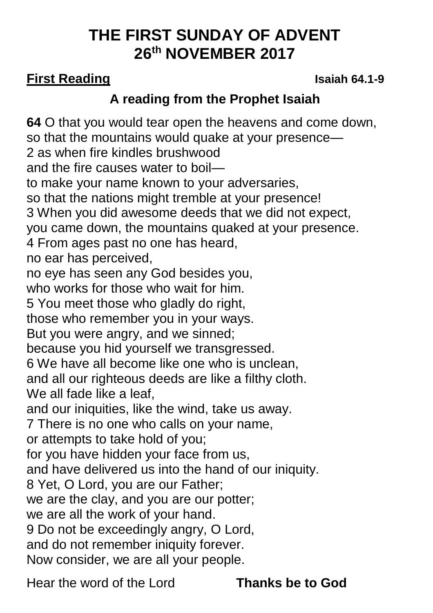# **THE FIRST SUNDAY OF ADVENT 26th NOVEMBER 2017**

## **First Reading Isaiah 64.1-9**

# **A reading from the Prophet Isaiah**

**64** O that you would tear open the heavens and come down, so that the mountains would quake at your presence— 2 as when fire kindles brushwood and the fire causes water to boil to make your name known to your adversaries, so that the nations might tremble at your presence! 3 When you did awesome deeds that we did not expect, you came down, the mountains quaked at your presence. 4 From ages past no one has heard, no ear has perceived, no eye has seen any God besides you, who works for those who wait for him. 5 You meet those who gladly do right, those who remember you in your ways. But you were angry, and we sinned; because you hid yourself we transgressed. 6 We have all become like one who is unclean, and all our righteous deeds are like a filthy cloth. We all fade like a leaf. and our iniquities, like the wind, take us away. 7 There is no one who calls on your name, or attempts to take hold of you; for you have hidden your face from us, and have delivered us into the hand of our iniquity. 8 Yet, O Lord, you are our Father; we are the clay, and you are our potter; we are all the work of your hand. 9 Do not be exceedingly angry, O Lord, and do not remember iniquity forever. Now consider, we are all your people.

Hear the word of the Lord **Thanks be to God**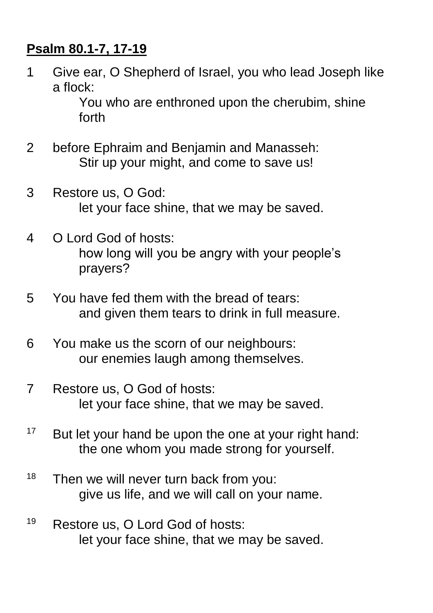## **Psalm 80.1-7, 17-19**

1 Give ear, O Shepherd of Israel, you who lead Joseph like a flock:

> You who are enthroned upon the cherubim, shine forth

- 2 before Ephraim and Benjamin and Manasseh: Stir up your might, and come to save us!
- 3 Restore us, O God: let your face shine, that we may be saved.
- 4 O Lord God of hosts: how long will you be angry with your people's prayers?
- 5 You have fed them with the bread of tears: and given them tears to drink in full measure.
- 6 You make us the scorn of our neighbours: our enemies laugh among themselves.
- 7 Restore us, O God of hosts: let your face shine, that we may be saved.
- $17$  But let your hand be upon the one at your right hand: the one whom you made strong for yourself.
- $18$  Then we will never turn back from you: give us life, and we will call on your name.
- <sup>19</sup> Restore us, O Lord God of hosts: let your face shine, that we may be saved.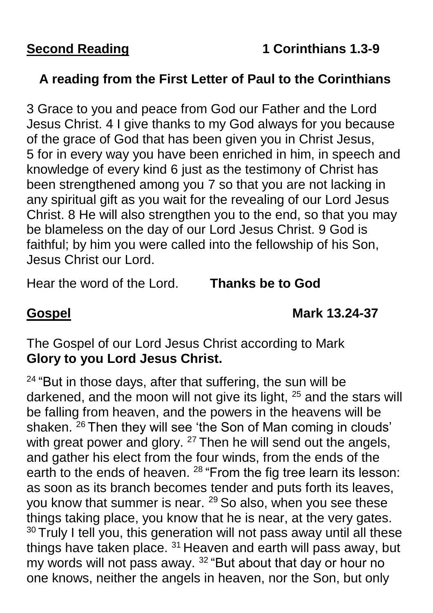## **A reading from the First Letter of Paul to the Corinthians**

3 Grace to you and peace from God our Father and the Lord Jesus Christ. 4 I give thanks to my God always for you because of the grace of God that has been given you in Christ Jesus, 5 for in every way you have been enriched in him, in speech and knowledge of every kind 6 just as the testimony of Christ has been strengthened among you 7 so that you are not lacking in any spiritual gift as you wait for the revealing of our Lord Jesus Christ. 8 He will also strengthen you to the end, so that you may be blameless on the day of our Lord Jesus Christ. 9 God is faithful; by him you were called into the fellowship of his Son, Jesus Christ our Lord.

Hear the word of the Lord. **Thanks be to God**

**Gospel Mark 13.24-37**

The Gospel of our Lord Jesus Christ according to Mark **Glory to you Lord Jesus Christ.**

 $24$  "But in those days, after that suffering, the sun will be darkened, and the moon will not give its light, <sup>25</sup> and the stars will be falling from heaven, and the powers in the heavens will be shaken. <sup>26</sup> Then they will see 'the Son of Man coming in clouds' with great power and glory. <sup>27</sup> Then he will send out the angels, and gather his elect from the four winds, from the ends of the earth to the ends of heaven. <sup>28</sup> "From the fig tree learn its lesson: as soon as its branch becomes tender and puts forth its leaves, you know that summer is near.  $29$  So also, when you see these things taking place, you know that he is near, at the very gates. <sup>30</sup> Truly I tell you, this generation will not pass away until all these things have taken place. <sup>31</sup> Heaven and earth will pass away, but my words will not pass away. <sup>32</sup> "But about that day or hour no one knows, neither the angels in heaven, nor the Son, but only